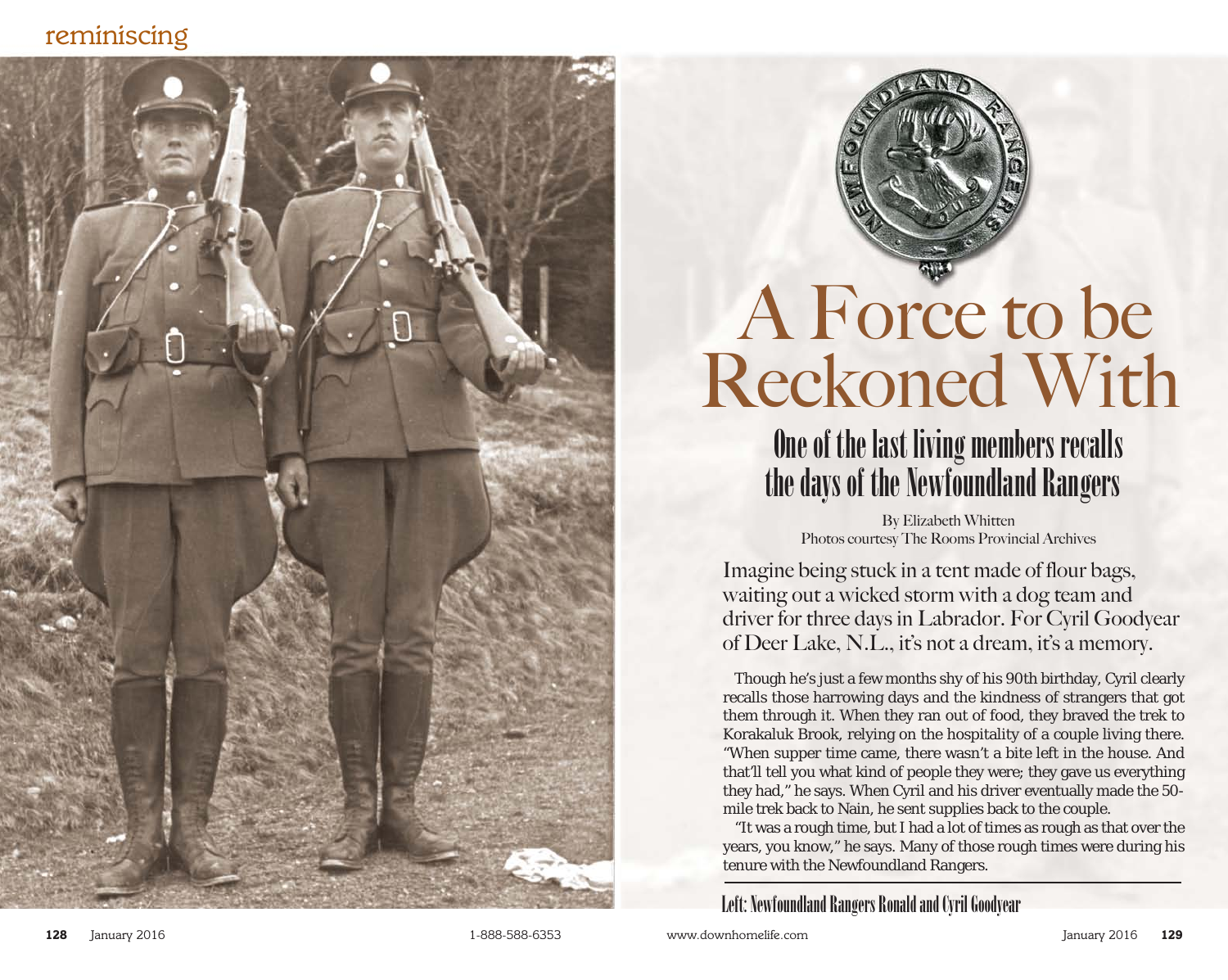### *reminiscing*





# A Force to be Reckoned With

## One of the last living members recalls the days of the Newfoundland Rangers

By Elizabeth Whitten Photos courtesy The Rooms Provincial Archives

Imagine being stuck in a tent made of flour bags, waiting out a wicked storm with a dog team and driver for three days in Labrador. For Cyril Goodyear of Deer Lake, N.L., it's not a dream, it's a memory.

Though he's just a few months shy of his 90th birthday, Cyril clearly recalls those harrowing days and the kindness of strangers that got them through it. When they ran out of food, they braved the trek to Korakaluk Brook, relying on the hospitality of a couple living there. "When supper time came, there wasn't a bite left in the house. And that'll tell you what kind of people they were; they gave us everything they had," he says. When Cyril and his driver eventually made the 50 mile trek back to Nain, he sent supplies back to the couple.

"It was a rough time, but I had a lot of times as rough as that over the years, you know," he says. Many of those rough times were during his tenure with the Newfoundland Rangers.

Left: Newfoundland Rangers Ronald and Cyril Goodyear